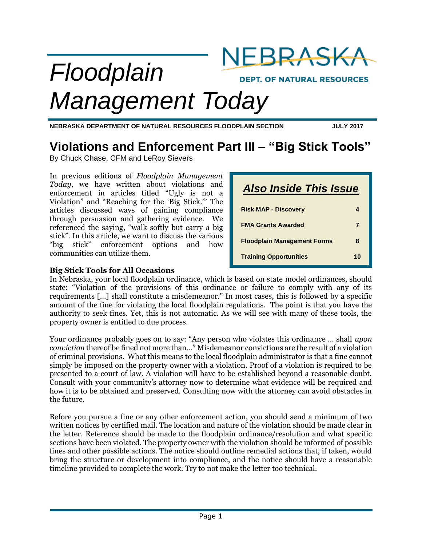

*Management Today*

**NEBRASKA DEPARTMENT OF NATURAL RESOURCES FLOODPLAIN SECTION JULY 2017**

# **Violations and Enforcement Part III – "Big Stick Tools"**

By Chuck Chase, CFM and LeRoy Sievers

In previous editions of *Floodplain Management Today*, we have written about violations and enforcement in articles titled "Ugly is not a Violation" and "Reaching for the 'Big Stick.'" The articles discussed ways of gaining compliance through persuasion and gathering evidence. We referenced the saying, "walk softly but carry a big stick". In this article, we want to discuss the various "big stick" enforcement options and how communities can utilize them.

| <b>Also Inside This Issue</b>      |   |
|------------------------------------|---|
| <b>Risk MAP - Discovery</b>        | 4 |
| <b>FMA Grants Awarded</b>          | 7 |
| <b>Floodplain Management Forms</b> | 8 |
| <b>Training Opportunities</b>      |   |

### **Big Stick Tools for All Occasions**

In Nebraska, your local floodplain ordinance, which is based on state model ordinances, should state: "Violation of the provisions of this ordinance or failure to comply with any of its requirements […] shall constitute a misdemeanor." In most cases, this is followed by a specific amount of the fine for violating the local floodplain regulations. The point is that you have the authority to seek fines. Yet, this is not automatic. As we will see with many of these tools, the property owner is entitled to due process.

Your ordinance probably goes on to say: "Any person who violates this ordinance … shall *upon conviction* thereof be fined not more than…" Misdemeanor convictions are the result of a violation of criminal provisions. What this means to the local floodplain administrator is that a fine cannot simply be imposed on the property owner with a violation. Proof of a violation is required to be presented to a court of law. A violation will have to be established beyond a reasonable doubt. Consult with your community's attorney now to determine what evidence will be required and how it is to be obtained and preserved. Consulting now with the attorney can avoid obstacles in the future.

Before you pursue a fine or any other enforcement action, you should send a minimum of two written notices by certified mail. The location and nature of the violation should be made clear in the letter. Reference should be made to the floodplain ordinance/resolution and what specific sections have been violated. The property owner with the violation should be informed of possible fines and other possible actions. The notice should outline remedial actions that, if taken, would bring the structure or development into compliance, and the notice should have a reasonable timeline provided to complete the work. Try to not make the letter too technical.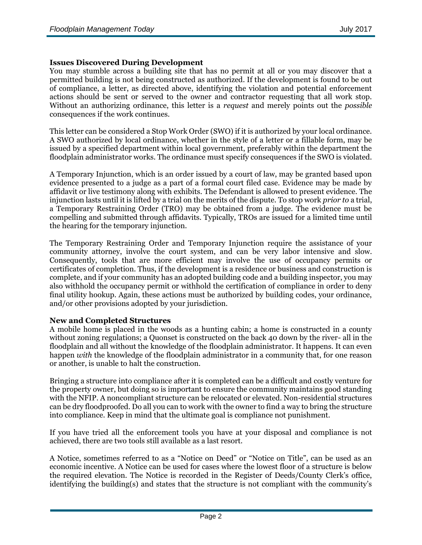### **Issues Discovered During Development**

You may stumble across a building site that has no permit at all or you may discover that a permitted building is not being constructed as authorized. If the development is found to be out of compliance, a letter, as directed above, identifying the violation and potential enforcement actions should be sent or served to the owner and contractor requesting that all work stop. Without an authorizing ordinance, this letter is a *request* and merely points out the *possible* consequences if the work continues.

This letter can be considered a Stop Work Order (SWO) if it is authorized by your local ordinance. A SWO authorized by local ordinance, whether in the style of a letter or a fillable form, may be issued by a specified department within local government, preferably within the department the floodplain administrator works. The ordinance must specify consequences if the SWO is violated.

A Temporary Injunction, which is an order issued by a court of law, may be granted based upon evidence presented to a judge as a part of a formal court filed case. Evidence may be made by affidavit or live testimony along with exhibits. The Defendant is allowed to present evidence. The injunction lasts until it is lifted by a trial on the merits of the dispute. To stop work *prior to* a trial, a Temporary Restraining Order (TRO) may be obtained from a judge. The evidence must be compelling and submitted through affidavits. Typically, TROs are issued for a limited time until the hearing for the temporary injunction.

The Temporary Restraining Order and Temporary Injunction require the assistance of your community attorney, involve the court system, and can be very labor intensive and slow. Consequently, tools that are more efficient may involve the use of occupancy permits or certificates of completion. Thus, if the development is a residence or business and construction is complete, and if your community has an adopted building code and a building inspector, you may also withhold the occupancy permit or withhold the certification of compliance in order to deny final utility hookup. Again, these actions must be authorized by building codes, your ordinance, and/or other provisions adopted by your jurisdiction.

### **New and Completed Structures**

A mobile home is placed in the woods as a hunting cabin; a home is constructed in a county without zoning regulations; a Quonset is constructed on the back 40 down by the river- all in the floodplain and all without the knowledge of the floodplain administrator. It happens. It can even happen *with* the knowledge of the floodplain administrator in a community that, for one reason or another, is unable to halt the construction.

Bringing a structure into compliance after it is completed can be a difficult and costly venture for the property owner, but doing so is important to ensure the community maintains good standing with the NFIP. A noncompliant structure can be relocated or elevated. Non-residential structures can be dry floodproofed. Do all you can to work with the owner to find a way to bring the structure into compliance. Keep in mind that the ultimate goal is compliance not punishment.

If you have tried all the enforcement tools you have at your disposal and compliance is not achieved, there are two tools still available as a last resort.

A Notice, sometimes referred to as a "Notice on Deed" or "Notice on Title", can be used as an economic incentive. A Notice can be used for cases where the lowest floor of a structure is below the required elevation. The Notice is recorded in the Register of Deeds/County Clerk's office, identifying the building(s) and states that the structure is not compliant with the community's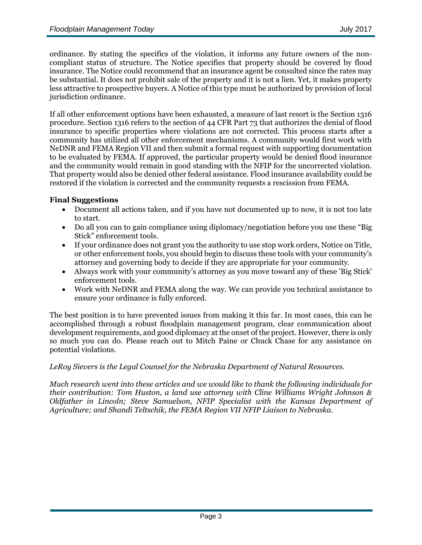ordinance. By stating the specifics of the violation, it informs any future owners of the noncompliant status of structure. The Notice specifies that property should be covered by flood insurance. The Notice could recommend that an insurance agent be consulted since the rates may be substantial. It does not prohibit sale of the property and it is not a lien. Yet, it makes property less attractive to prospective buyers. A Notice of this type must be authorized by provision of local jurisdiction ordinance.

If all other enforcement options have been exhausted, a measure of last resort is the Section 1316 procedure. Section 1316 refers to the section of 44 CFR Part 73 that authorizes the denial of flood insurance to specific properties where violations are not corrected. This process starts after a community has utilized all other enforcement mechanisms. A community would first work with NeDNR and FEMA Region VII and then submit a formal request with supporting documentation to be evaluated by FEMA. If approved, the particular property would be denied flood insurance and the community would remain in good standing with the NFIP for the uncorrected violation. That property would also be denied other federal assistance. Flood insurance availability could be restored if the violation is corrected and the community requests a rescission from FEMA.

### **Final Suggestions**

- Document all actions taken, and if you have not documented up to now, it is not too late to start.
- Do all you can to gain compliance using diplomacy/negotiation before you use these "Big" Stick" enforcement tools.
- If your ordinance does not grant you the authority to use stop work orders, Notice on Title, or other enforcement tools, you should begin to discuss these tools with your community's attorney and governing body to decide if they are appropriate for your community.
- Always work with your community's attorney as you move toward any of these 'Big Stick' enforcement tools.
- Work with NeDNR and FEMA along the way. We can provide you technical assistance to ensure your ordinance is fully enforced.

The best position is to have prevented issues from making it this far. In most cases, this can be accomplished through a robust floodplain management program, clear communication about development requirements, and good diplomacy at the onset of the project. However, there is only so much you can do. Please reach out to Mitch Paine or Chuck Chase for any assistance on potential violations.

### *LeRoy Sievers is the Legal Counsel for the Nebraska Department of Natural Resources.*

*Much research went into these articles and we would like to thank the following individuals for their contribution: Tom Huston, a land use attorney with Cline Williams Wright Johnson & Oldfather in Lincoln; Steve Samuelson, NFIP Specialist with the Kansas Department of Agriculture; and Shandi Teltschik, the FEMA Region VII NFIP Liaison to Nebraska.*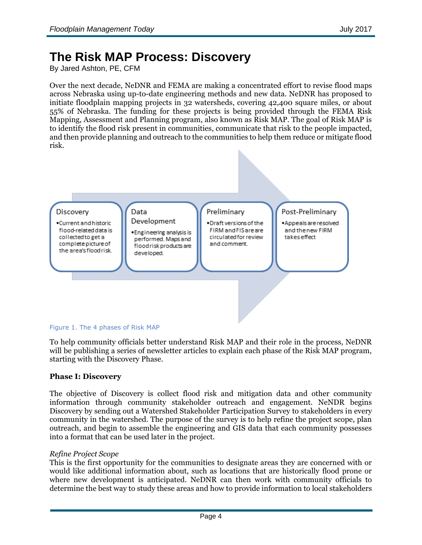# **The Risk MAP Process: Discovery**

By Jared Ashton, PE, CFM

Over the next decade, NeDNR and FEMA are making a concentrated effort to revise flood maps across Nebraska using up-to-date engineering methods and new data. NeDNR has proposed to initiate floodplain mapping projects in 32 watersheds, covering 42,400 square miles, or about 55% of Nebraska. The funding for these projects is being provided through the FEMA Risk Mapping, Assessment and Planning program, also known as Risk MAP. The goal of Risk MAP is to identify the flood risk present in communities, communicate that risk to the people impacted, and then provide planning and outreach to the communities to help them reduce or mitigate flood risk.



### Figure 1. The 4 phases of Risk MAP

To help community officials better understand Risk MAP and their role in the process, NeDNR will be publishing a series of newsletter articles to explain each phase of the Risk MAP program, starting with the Discovery Phase.

## **Phase I: Discovery**

The objective of Discovery is collect flood risk and mitigation data and other community information through community stakeholder outreach and engagement. NeNDR begins Discovery by sending out a Watershed Stakeholder Participation Survey to stakeholders in every community in the watershed. The purpose of the survey is to help refine the project scope, plan outreach, and begin to assemble the engineering and GIS data that each community possesses into a format that can be used later in the project.

### *Refine Project Scope*

This is the first opportunity for the communities to designate areas they are concerned with or would like additional information about, such as locations that are historically flood prone or where new development is anticipated. NeDNR can then work with community officials to determine the best way to study these areas and how to provide information to local stakeholders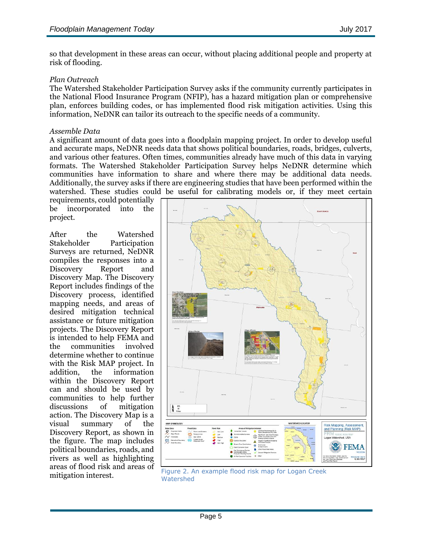so that development in these areas can occur, without placing additional people and property at risk of flooding.

## *Plan Outreach*

The Watershed Stakeholder Participation Survey asks if the community currently participates in the National Flood Insurance Program (NFIP), has a hazard mitigation plan or comprehensive plan, enforces building codes, or has implemented flood risk mitigation activities. Using this information, NeDNR can tailor its outreach to the specific needs of a community.

### *Assemble Data*

A significant amount of data goes into a floodplain mapping project. In order to develop useful and accurate maps, NeDNR needs data that shows political boundaries, roads, bridges, culverts, and various other features. Often times, communities already have much of this data in varying formats. The Watershed Stakeholder Participation Survey helps NeDNR determine which communities have information to share and where there may be additional data needs. Additionally, the survey asks if there are engineering studies that have been performed within the watershed. These studies could be useful for calibrating models or, if they meet certain

requirements, could potentially be incorporated into the project.

After the Watershed Stakeholder Participation Surveys are returned, NeDNR compiles the responses into a Discovery Report and Discovery Map. The Discovery Report includes findings of the Discovery process, identified mapping needs, and areas of desired mitigation technical assistance or future mitigation projects. The Discovery Report is intended to help FEMA and the communities involved determine whether to continue with the Risk MAP project. In addition, the information within the Discovery Report can and should be used by communities to help further discussions of mitigation action. The Discovery Map is a visual summary of the Discovery Report, as shown in the figure. The map includes political boundaries, roads, and rivers as well as highlighting areas of flood risk and areas of



mitigation interest.<br>Material dividended Material Material Material Material dividends of Material dividends of Material Dividendia<br>Research Material dividends of Material dividends of the US of the Material dividends of t **Watershed**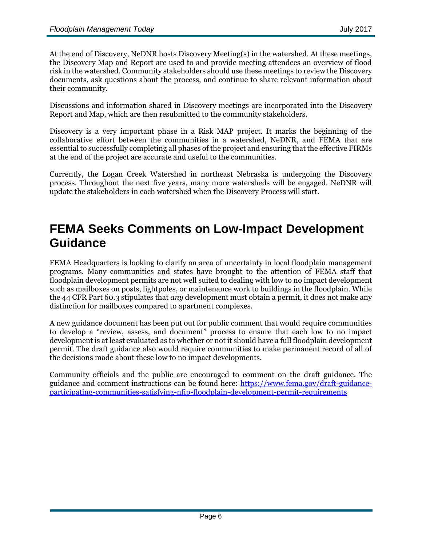At the end of Discovery, NeDNR hosts Discovery Meeting(s) in the watershed. At these meetings, the Discovery Map and Report are used to and provide meeting attendees an overview of flood risk in the watershed. Community stakeholders should use these meetings to review the Discovery documents, ask questions about the process, and continue to share relevant information about their community.

Discussions and information shared in Discovery meetings are incorporated into the Discovery Report and Map, which are then resubmitted to the community stakeholders.

Discovery is a very important phase in a Risk MAP project. It marks the beginning of the collaborative effort between the communities in a watershed, NeDNR, and FEMA that are essential to successfully completing all phases of the project and ensuring that the effective FIRMs at the end of the project are accurate and useful to the communities.

Currently, the Logan Creek Watershed in northeast Nebraska is undergoing the Discovery process. Throughout the next five years, many more watersheds will be engaged. NeDNR will update the stakeholders in each watershed when the Discovery Process will start.

# **FEMA Seeks Comments on Low-Impact Development Guidance**

FEMA Headquarters is looking to clarify an area of uncertainty in local floodplain management programs. Many communities and states have brought to the attention of FEMA staff that floodplain development permits are not well suited to dealing with low to no impact development such as mailboxes on posts, lightpoles, or maintenance work to buildings in the floodplain. While the 44 CFR Part 60.3 stipulates that *any* development must obtain a permit, it does not make any distinction for mailboxes compared to apartment complexes.

A new guidance document has been put out for public comment that would require communities to develop a "review, assess, and document" process to ensure that each low to no impact development is at least evaluated as to whether or not it should have a full floodplain development permit. The draft guidance also would require communities to make permanent record of all of the decisions made about these low to no impact developments.

Community officials and the public are encouraged to comment on the draft guidance. The guidance and comment instructions can be found here: [https://www.fema.gov/draft-guidance](https://www.fema.gov/draft-guidance-participating-communities-satisfying-nfip-floodplain-development-permit-requirements)[participating-communities-satisfying-nfip-floodplain-development-permit-requirements](https://www.fema.gov/draft-guidance-participating-communities-satisfying-nfip-floodplain-development-permit-requirements)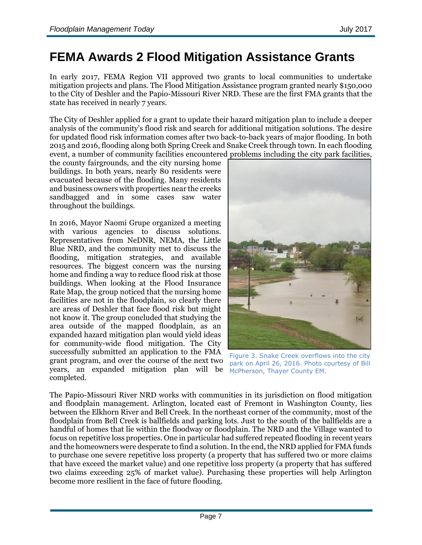# **FEMA Awards 2 Flood Mitigation Assistance Grants**

In early 2017, FEMA Region VII approved two grants to local communities to undertake mitigation projects and plans. The Flood Mitigation Assistance program granted nearly \$150,000 to the City of Deshler and the Papio-Missouri River NRD. These are the first FMA grants that the state has received in nearly 7 years.

The City of Deshler applied for a grant to update their hazard mitigation plan to include a deeper analysis of the community's flood risk and search for additional mitigation solutions. The desire for updated flood risk information comes after two back-to-back years of major flooding. In both 2015 and 2016, flooding along both Spring Creek and Snake Creek through town. In each flooding event, a number of community facilities encountered problems including the city park facilities,

the county fairgrounds, and the city nursing home buildings. In both years, nearly 80 residents were evacuated because of the flooding. Many residents and business owners with properties near the creeks sandbagged and in some cases saw water throughout the buildings.

In 2016, Mayor Naomi Grupe organized a meeting with various agencies to discuss solutions. Representatives from NeDNR, NEMA, the Little Blue NRD, and the community met to discuss the flooding, mitigation strategies, and available resources. The biggest concern was the nursing home and finding a way to reduce flood risk at those buildings. When looking at the Flood Insurance Rate Map, the group noticed that the nursing home facilities are not in the floodplain, so clearly there are areas of Deshler that face flood risk but might not know it. The group concluded that studying the area outside of the mapped floodplain, as an expanded hazard mitigation plan would yield ideas for community-wide flood mitigation. The City successfully submitted an application to the FMA grant program, and over the course of the next two years, an expanded mitigation plan will be completed.



Figure 3. Snake Creek overflows into the city park on April 26, 2016. Photo courtesy of Bill McPherson, Thayer County EM.

The Papio-Missouri River NRD works with communities in its jurisdiction on flood mitigation and floodplain management. Arlington, located east of Fremont in Washington County, lies between the Elkhorn River and Bell Creek. In the northeast corner of the community, most of the floodplain from Bell Creek is ballfields and parking lots. Just to the south of the ballfields are a handful of homes that lie within the floodway or floodplain. The NRD and the Village wanted to focus on repetitive loss properties. One in particular had suffered repeated flooding in recent years and the homeowners were desperate to find a solution. In the end, the NRD applied for FMA funds to purchase one severe repetitive loss property (a property that has suffered two or more claims that have exceed the market value) and one repetitive loss property (a property that has suffered two claims exceeding 25% of market value). Purchasing these properties will help Arlington become more resilient in the face of future flooding.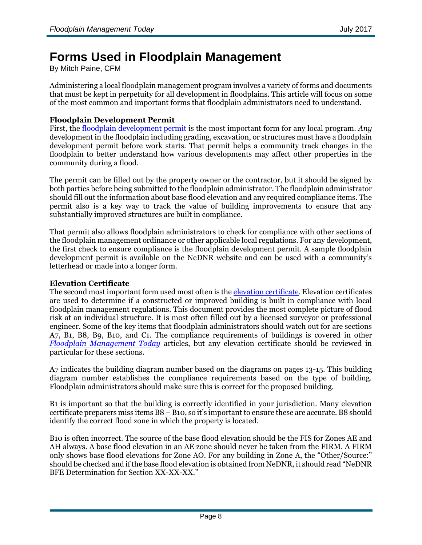# **Forms Used in Floodplain Management**

By Mitch Paine, CFM

Administering a local floodplain management program involves a variety of forms and documents that must be kept in perpetuity for all development in floodplains. This article will focus on some of the most common and important forms that floodplain administrators need to understand.

## **Floodplain Development Permit**

First, the [floodplain development permit](https://dnr.nebraska.gov/sites/dnr.nebraska.gov/files/doc/desk-reference/permits-certificates/SampleFPDevPerm_Floodway.pdf) is the most important form for any local program. *Any* development in the floodplain including grading, excavation, or structures must have a floodplain development permit before work starts. That permit helps a community track changes in the floodplain to better understand how various developments may affect other properties in the community during a flood.

The permit can be filled out by the property owner or the contractor, but it should be signed by both parties before being submitted to the floodplain administrator. The floodplain administrator should fill out the information about base flood elevation and any required compliance items. The permit also is a key way to track the value of building improvements to ensure that any substantially improved structures are built in compliance.

That permit also allows floodplain administrators to check for compliance with other sections of the floodplain management ordinance or other applicable local regulations. For any development, the first check to ensure compliance is the floodplain development permit. A sample floodplain development permit is available on the NeDNR website and can be used with a community's letterhead or made into a longer form.

## **Elevation Certificate**

The second most important form used most often is the [elevation certificate.](https://dnr.nebraska.gov/sites/dnr.nebraska.gov/files/doc/desk-reference/permits-certificates/FEMA_Elevation_Certificate_exp_2018.pdf) Elevation certificates are used to determine if a constructed or improved building is built in compliance with local floodplain management regulations. This document provides the most complete picture of flood risk at an individual structure. It is most often filled out by a licensed surveyor or professional engineer. Some of the key items that floodplain administrators should watch out for are sections A7, B1, B8, B9, B10, and C1. The compliance requirements of buildings is covered in other *[Floodplain Management Today](https://dnr.nebraska.gov/floodplain/nebraska-floodplain-management-newsletters)* articles, but any elevation certificate should be reviewed in particular for these sections.

A7 indicates the building diagram number based on the diagrams on pages 13-15. This building diagram number establishes the compliance requirements based on the type of building. Floodplain administrators should make sure this is correct for the proposed building.

B1 is important so that the building is correctly identified in your jurisdiction. Many elevation certificate preparers miss items B8 – B10, so it's important to ensure these are accurate. B8 should identify the correct flood zone in which the property is located.

B10 is often incorrect. The source of the base flood elevation should be the FIS for Zones AE and AH always. A base flood elevation in an AE zone should never be taken from the FIRM. A FIRM only shows base flood elevations for Zone AO. For any building in Zone A, the "Other/Source:" should be checked and if the base flood elevation is obtained from NeDNR, it should read "NeDNR BFE Determination for Section XX-XX-XX."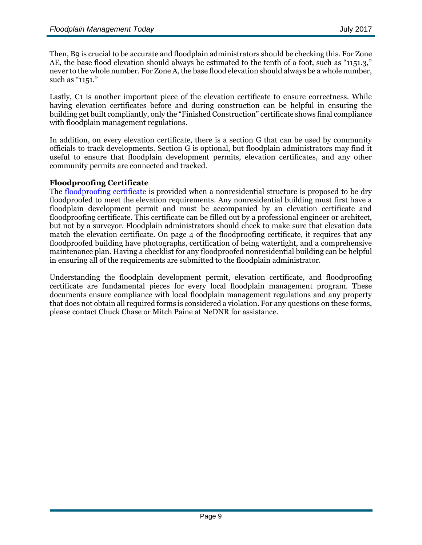Then, B9 is crucial to be accurate and floodplain administrators should be checking this. For Zone AE, the base flood elevation should always be estimated to the tenth of a foot, such as "1151.3," never to the whole number. For Zone A, the base flood elevation should always be a whole number, such as "1151."

Lastly, C1 is another important piece of the elevation certificate to ensure correctness. While having elevation certificates before and during construction can be helpful in ensuring the building get built compliantly, only the "Finished Construction" certificate shows final compliance with floodplain management regulations.

In addition, on every elevation certificate, there is a section G that can be used by community officials to track developments. Section G is optional, but floodplain administrators may find it useful to ensure that floodplain development permits, elevation certificates, and any other community permits are connected and tracked.

### **Floodproofing Certificate**

The [floodproofing certificate](https://dnr.nebraska.gov/sites/dnr.nebraska.gov/files/doc/desk-reference/permits-certificates/FEMA_Floodproofing_Certificate_exp_2018.pdf) is provided when a nonresidential structure is proposed to be dry floodproofed to meet the elevation requirements. Any nonresidential building must first have a floodplain development permit and must be accompanied by an elevation certificate and floodproofing certificate. This certificate can be filled out by a professional engineer or architect, but not by a surveyor. Floodplain administrators should check to make sure that elevation data match the elevation certificate. On page 4 of the floodproofing certificate, it requires that any floodproofed building have photographs, certification of being watertight, and a comprehensive maintenance plan. Having a checklist for any floodproofed nonresidential building can be helpful in ensuring all of the requirements are submitted to the floodplain administrator.

Understanding the floodplain development permit, elevation certificate, and floodproofing certificate are fundamental pieces for every local floodplain management program. These documents ensure compliance with local floodplain management regulations and any property that does not obtain all required forms is considered a violation. For any questions on these forms, please contact Chuck Chase or Mitch Paine at NeDNR for assistance.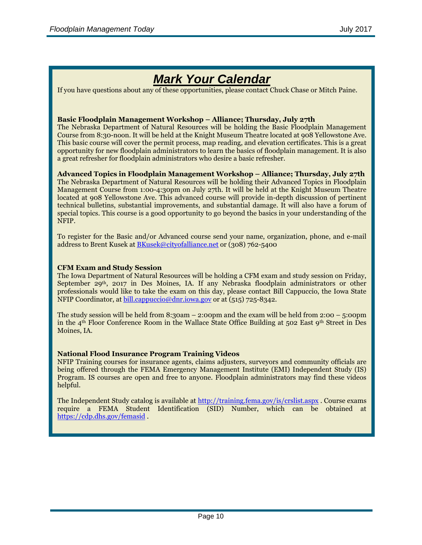# *Mark Your Calendar*

If you have questions about any of these opportunities, please contact Chuck Chase or Mitch Paine.

### **Basic Floodplain Management Workshop – Alliance; Thursday, July 27th**

The Nebraska Department of Natural Resources will be holding the Basic Floodplain Management Course from 8:30-noon. It will be held at the Knight Museum Theatre located at 908 Yellowstone Ave. This basic course will cover the permit process, map reading, and elevation certificates. This is a great opportunity for new floodplain administrators to learn the basics of floodplain management. It is also a great refresher for floodplain administrators who desire a basic refresher.

### **Advanced Topics in Floodplain Management Workshop – Alliance; Thursday, July 27th**

The Nebraska Department of Natural Resources will be holding their Advanced Topics in Floodplain Management Course from 1:00-4:30pm on July 27th. It will be held at the Knight Museum Theatre located at 908 Yellowstone Ave. This advanced course will provide in-depth discussion of pertinent technical bulletins, substantial improvements, and substantial damage. It will also have a forum of special topics. This course is a good opportunity to go beyond the basics in your understanding of the NFIP.

To register for the Basic and/or Advanced course send your name, organization, phone, and e-mail address to Brent Kusek a[t BKusek@cityofalliance.net](mailto:BKusek@cityofalliance.net) or (308) 762-5400

### **CFM Exam and Study Session**

The Iowa Department of Natural Resources will be holding a CFM exam and study session on Friday, September 29<sup>th</sup>, 2017 in Des Moines, IA. If any Nebraska floodplain administrators or other professionals would like to take the exam on this day, please contact Bill Cappuccio, the Iowa State NFIP Coordinator, at [bill.cappuccio@dnr.iowa.gov](mailto:bill.cappuccio@dnr.iowa.gov) or at (515) 725-8342.

The study session will be held from 8:30am – 2:00pm and the exam will be held from 2:00 – 5:00pm in the  $4<sup>th</sup>$  Floor Conference Room in the Wallace State Office Building at 502 East  $9<sup>th</sup>$  Street in Des Moines, IA.

### **National Flood Insurance Program Training Videos**

NFIP Training courses for insurance agents, claims adjusters, surveyors and community officials are being offered through the FEMA Emergency Management Institute (EMI) Independent Study (IS) Program. IS courses are open and free to anyone. Floodplain administrators may find these videos helpful.

The Independent Study catalog is available at<http://training.fema.gov/is/crslist.aspx> . Course exams require a FEMA Student Identification (SID) Number, which can be obtained at <https://cdp.dhs.gov/femasid> .